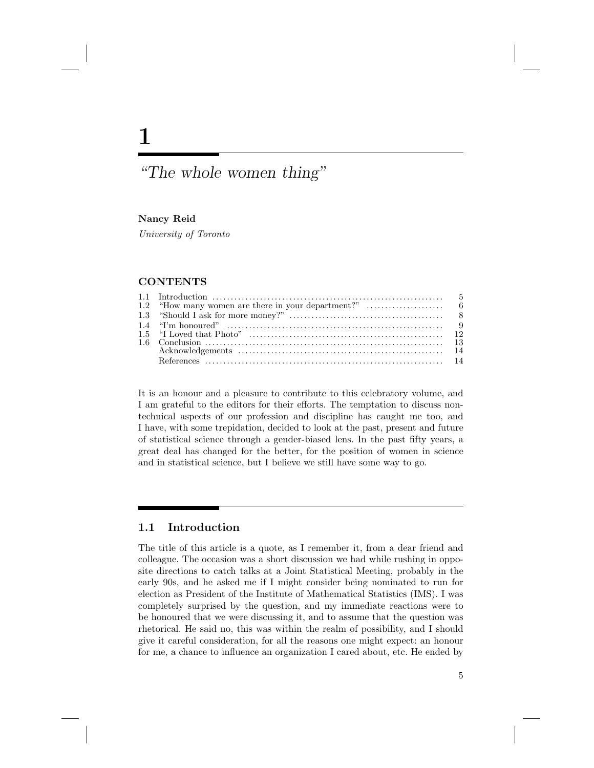#### Nancy Reid

1

University of Toronto

### **CONTENTS**

It is an honour and a pleasure to contribute to this celebratory volume, and I am grateful to the editors for their efforts. The temptation to discuss nontechnical aspects of our profession and discipline has caught me too, and I have, with some trepidation, decided to look at the past, present and future of statistical science through a gender-biased lens. In the past fifty years, a great deal has changed for the better, for the position of women in science and in statistical science, but I believe we still have some way to go.

# 1.1 Introduction

The title of this article is a quote, as I remember it, from a dear friend and colleague. The occasion was a short discussion we had while rushing in opposite directions to catch talks at a Joint Statistical Meeting, probably in the early 90s, and he asked me if I might consider being nominated to run for election as President of the Institute of Mathematical Statistics (IMS). I was completely surprised by the question, and my immediate reactions were to be honoured that we were discussing it, and to assume that the question was rhetorical. He said no, this was within the realm of possibility, and I should give it careful consideration, for all the reasons one might expect: an honour for me, a chance to influence an organization I cared about, etc. He ended by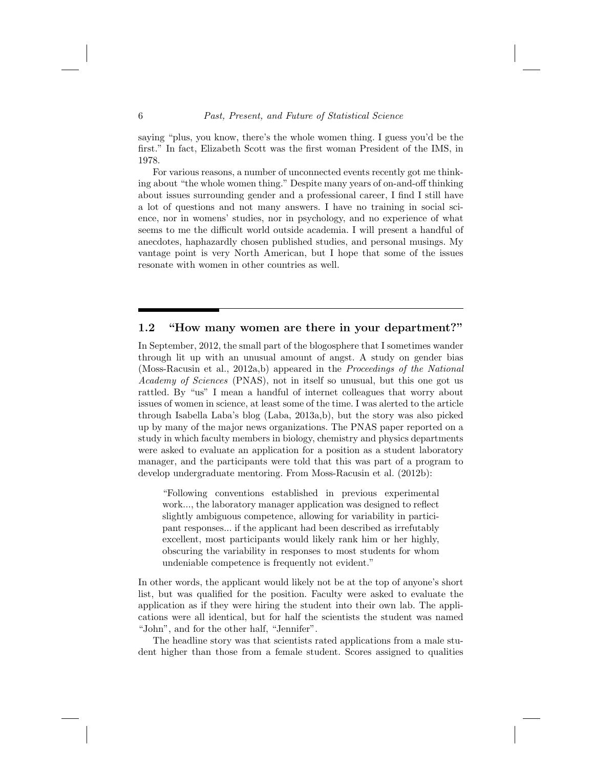saying "plus, you know, there's the whole women thing. I guess you'd be the first." In fact, Elizabeth Scott was the first woman President of the IMS, in 1978.

For various reasons, a number of unconnected events recently got me thinking about "the whole women thing." Despite many years of on-and-off thinking about issues surrounding gender and a professional career, I find I still have a lot of questions and not many answers. I have no training in social science, nor in womens' studies, nor in psychology, and no experience of what seems to me the difficult world outside academia. I will present a handful of anecdotes, haphazardly chosen published studies, and personal musings. My vantage point is very North American, but I hope that some of the issues resonate with women in other countries as well.

### 1.2 "How many women are there in your department?"

In September, 2012, the small part of the blogosphere that I sometimes wander through lit up with an unusual amount of angst. A study on gender bias (Moss-Racusin et al., 2012a,b) appeared in the Proceedings of the National Academy of Sciences (PNAS), not in itself so unusual, but this one got us rattled. By "us" I mean a handful of internet colleagues that worry about issues of women in science, at least some of the time. I was alerted to the article through Isabella Laba's blog (Laba, 2013a,b), but the story was also picked up by many of the major news organizations. The PNAS paper reported on a study in which faculty members in biology, chemistry and physics departments were asked to evaluate an application for a position as a student laboratory manager, and the participants were told that this was part of a program to develop undergraduate mentoring. From Moss-Racusin et al. (2012b):

"Following conventions established in previous experimental work..., the laboratory manager application was designed to reflect slightly ambiguous competence, allowing for variability in participant responses... if the applicant had been described as irrefutably excellent, most participants would likely rank him or her highly, obscuring the variability in responses to most students for whom undeniable competence is frequently not evident."

In other words, the applicant would likely not be at the top of anyone's short list, but was qualified for the position. Faculty were asked to evaluate the application as if they were hiring the student into their own lab. The applications were all identical, but for half the scientists the student was named "John", and for the other half, "Jennifer".

The headline story was that scientists rated applications from a male student higher than those from a female student. Scores assigned to qualities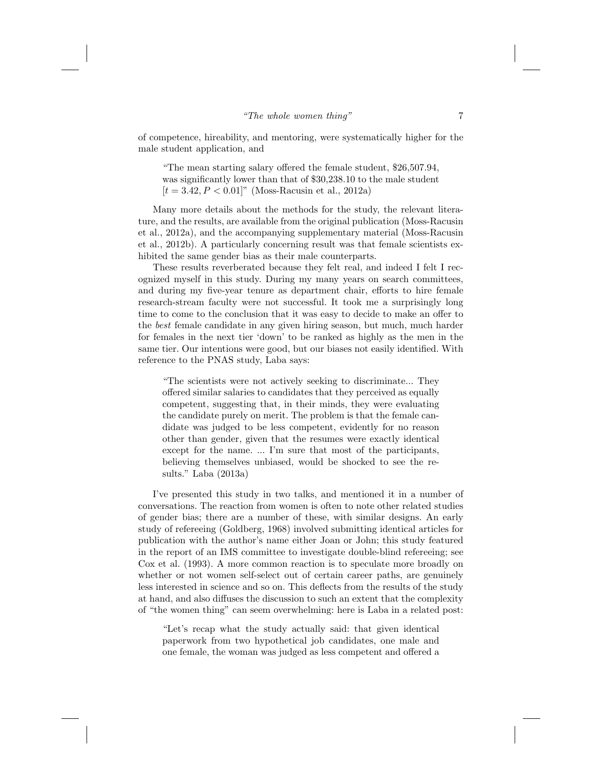of competence, hireability, and mentoring, were systematically higher for the male student application, and

"The mean starting salary offered the female student, \$26,507.94, was significantly lower than that of \$30,238.10 to the male student  $[t = 3.42, P < 0.01]$ " (Moss-Racusin et al., 2012a)

Many more details about the methods for the study, the relevant literature, and the results, are available from the original publication (Moss-Racusin et al., 2012a), and the accompanying supplementary material (Moss-Racusin et al., 2012b). A particularly concerning result was that female scientists exhibited the same gender bias as their male counterparts.

These results reverberated because they felt real, and indeed I felt I recognized myself in this study. During my many years on search committees, and during my five-year tenure as department chair, efforts to hire female research-stream faculty were not successful. It took me a surprisingly long time to come to the conclusion that it was easy to decide to make an offer to the best female candidate in any given hiring season, but much, much harder for females in the next tier 'down' to be ranked as highly as the men in the same tier. Our intentions were good, but our biases not easily identified. With reference to the PNAS study, Laba says:

"The scientists were not actively seeking to discriminate... They offered similar salaries to candidates that they perceived as equally competent, suggesting that, in their minds, they were evaluating the candidate purely on merit. The problem is that the female candidate was judged to be less competent, evidently for no reason other than gender, given that the resumes were exactly identical except for the name. ... I'm sure that most of the participants, believing themselves unbiased, would be shocked to see the results." Laba (2013a)

I've presented this study in two talks, and mentioned it in a number of conversations. The reaction from women is often to note other related studies of gender bias; there are a number of these, with similar designs. An early study of refereeing (Goldberg, 1968) involved submitting identical articles for publication with the author's name either Joan or John; this study featured in the report of an IMS committee to investigate double-blind refereeing; see Cox et al. (1993). A more common reaction is to speculate more broadly on whether or not women self-select out of certain career paths, are genuinely less interested in science and so on. This deflects from the results of the study at hand, and also diffuses the discussion to such an extent that the complexity of "the women thing" can seem overwhelming: here is Laba in a related post:

"Let's recap what the study actually said: that given identical paperwork from two hypothetical job candidates, one male and one female, the woman was judged as less competent and offered a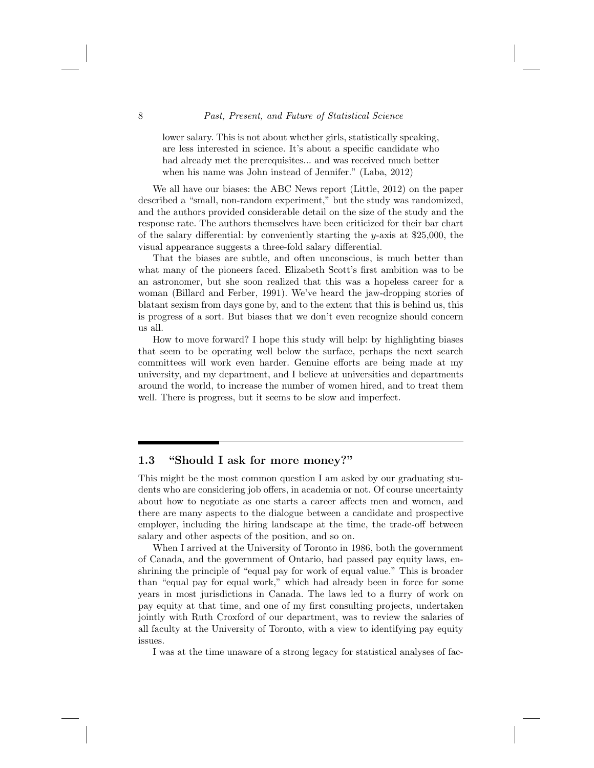lower salary. This is not about whether girls, statistically speaking, are less interested in science. It's about a specific candidate who had already met the prerequisites... and was received much better when his name was John instead of Jennifer." (Laba, 2012)

We all have our biases: the ABC News report (Little, 2012) on the paper described a "small, non-random experiment," but the study was randomized, and the authors provided considerable detail on the size of the study and the response rate. The authors themselves have been criticized for their bar chart of the salary differential: by conveniently starting the  $y$ -axis at \$25,000, the visual appearance suggests a three-fold salary differential.

That the biases are subtle, and often unconscious, is much better than what many of the pioneers faced. Elizabeth Scott's first ambition was to be an astronomer, but she soon realized that this was a hopeless career for a woman (Billard and Ferber, 1991). We've heard the jaw-dropping stories of blatant sexism from days gone by, and to the extent that this is behind us, this is progress of a sort. But biases that we don't even recognize should concern us all.

How to move forward? I hope this study will help: by highlighting biases that seem to be operating well below the surface, perhaps the next search committees will work even harder. Genuine efforts are being made at my university, and my department, and I believe at universities and departments around the world, to increase the number of women hired, and to treat them well. There is progress, but it seems to be slow and imperfect.

# 1.3 "Should I ask for more money?"

This might be the most common question I am asked by our graduating students who are considering job offers, in academia or not. Of course uncertainty about how to negotiate as one starts a career affects men and women, and there are many aspects to the dialogue between a candidate and prospective employer, including the hiring landscape at the time, the trade-off between salary and other aspects of the position, and so on.

When I arrived at the University of Toronto in 1986, both the government of Canada, and the government of Ontario, had passed pay equity laws, enshrining the principle of "equal pay for work of equal value." This is broader than "equal pay for equal work," which had already been in force for some years in most jurisdictions in Canada. The laws led to a flurry of work on pay equity at that time, and one of my first consulting projects, undertaken jointly with Ruth Croxford of our department, was to review the salaries of all faculty at the University of Toronto, with a view to identifying pay equity issues.

I was at the time unaware of a strong legacy for statistical analyses of fac-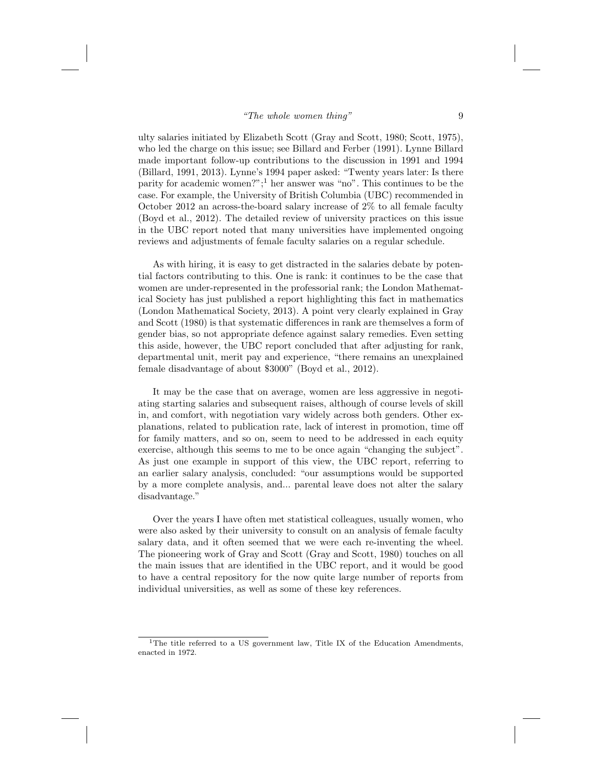#### $"The whole women thing" \t 9"$

ulty salaries initiated by Elizabeth Scott (Gray and Scott, 1980; Scott, 1975), who led the charge on this issue; see Billard and Ferber (1991). Lynne Billard made important follow-up contributions to the discussion in 1991 and 1994 (Billard, 1991, 2013). Lynne's 1994 paper asked: "Twenty years later: Is there parity for academic women?";<sup>1</sup> her answer was "no". This continues to be the case. For example, the University of British Columbia (UBC) recommended in October 2012 an across-the-board salary increase of 2% to all female faculty (Boyd et al., 2012). The detailed review of university practices on this issue in the UBC report noted that many universities have implemented ongoing reviews and adjustments of female faculty salaries on a regular schedule.

As with hiring, it is easy to get distracted in the salaries debate by potential factors contributing to this. One is rank: it continues to be the case that women are under-represented in the professorial rank; the London Mathematical Society has just published a report highlighting this fact in mathematics (London Mathematical Society, 2013). A point very clearly explained in Gray and Scott (1980) is that systematic differences in rank are themselves a form of gender bias, so not appropriate defence against salary remedies. Even setting this aside, however, the UBC report concluded that after adjusting for rank, departmental unit, merit pay and experience, "there remains an unexplained female disadvantage of about \$3000" (Boyd et al., 2012).

It may be the case that on average, women are less aggressive in negotiating starting salaries and subsequent raises, although of course levels of skill in, and comfort, with negotiation vary widely across both genders. Other explanations, related to publication rate, lack of interest in promotion, time off for family matters, and so on, seem to need to be addressed in each equity exercise, although this seems to me to be once again "changing the subject". As just one example in support of this view, the UBC report, referring to an earlier salary analysis, concluded: "our assumptions would be supported by a more complete analysis, and... parental leave does not alter the salary disadvantage."

Over the years I have often met statistical colleagues, usually women, who were also asked by their university to consult on an analysis of female faculty salary data, and it often seemed that we were each re-inventing the wheel. The pioneering work of Gray and Scott (Gray and Scott, 1980) touches on all the main issues that are identified in the UBC report, and it would be good to have a central repository for the now quite large number of reports from individual universities, as well as some of these key references.

<sup>&</sup>lt;sup>1</sup>The title referred to a US government law, Title IX of the Education Amendments, enacted in 1972.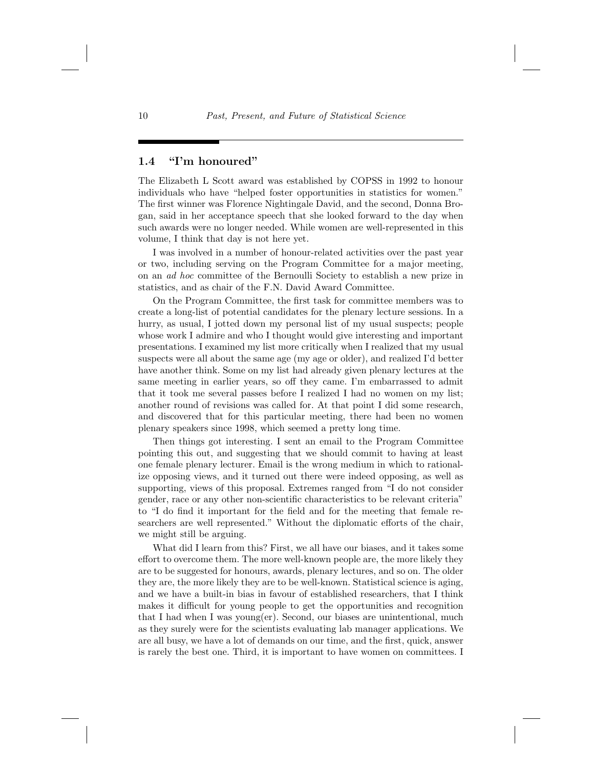### 1.4 "I'm honoured"

The Elizabeth L Scott award was established by COPSS in 1992 to honour individuals who have "helped foster opportunities in statistics for women." The first winner was Florence Nightingale David, and the second, Donna Brogan, said in her acceptance speech that she looked forward to the day when such awards were no longer needed. While women are well-represented in this volume, I think that day is not here yet.

I was involved in a number of honour-related activities over the past year or two, including serving on the Program Committee for a major meeting, on an ad hoc committee of the Bernoulli Society to establish a new prize in statistics, and as chair of the F.N. David Award Committee.

On the Program Committee, the first task for committee members was to create a long-list of potential candidates for the plenary lecture sessions. In a hurry, as usual, I jotted down my personal list of my usual suspects; people whose work I admire and who I thought would give interesting and important presentations. I examined my list more critically when I realized that my usual suspects were all about the same age (my age or older), and realized I'd better have another think. Some on my list had already given plenary lectures at the same meeting in earlier years, so off they came. I'm embarrassed to admit that it took me several passes before I realized I had no women on my list; another round of revisions was called for. At that point I did some research, and discovered that for this particular meeting, there had been no women plenary speakers since 1998, which seemed a pretty long time.

Then things got interesting. I sent an email to the Program Committee pointing this out, and suggesting that we should commit to having at least one female plenary lecturer. Email is the wrong medium in which to rationalize opposing views, and it turned out there were indeed opposing, as well as supporting, views of this proposal. Extremes ranged from "I do not consider gender, race or any other non-scientific characteristics to be relevant criteria" to "I do find it important for the field and for the meeting that female researchers are well represented." Without the diplomatic efforts of the chair, we might still be arguing.

What did I learn from this? First, we all have our biases, and it takes some effort to overcome them. The more well-known people are, the more likely they are to be suggested for honours, awards, plenary lectures, and so on. The older they are, the more likely they are to be well-known. Statistical science is aging, and we have a built-in bias in favour of established researchers, that I think makes it difficult for young people to get the opportunities and recognition that I had when I was young(er). Second, our biases are unintentional, much as they surely were for the scientists evaluating lab manager applications. We are all busy, we have a lot of demands on our time, and the first, quick, answer is rarely the best one. Third, it is important to have women on committees. I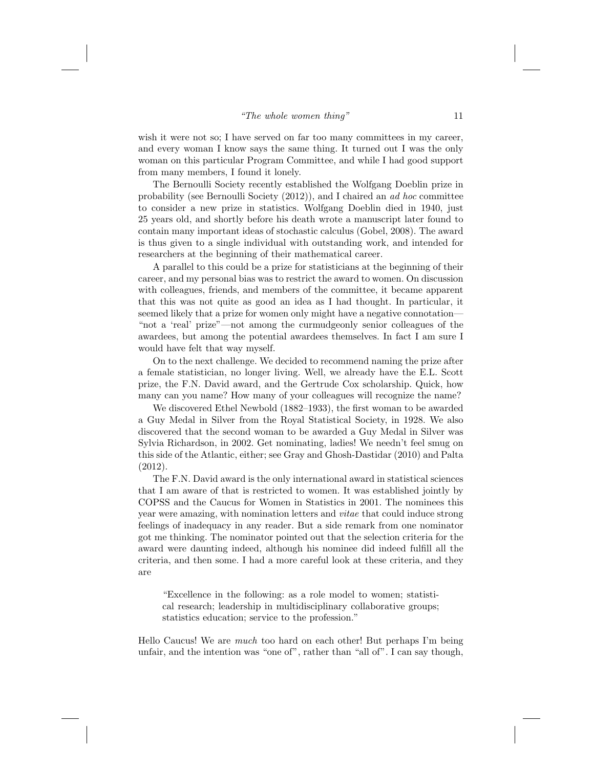wish it were not so; I have served on far too many committees in my career, and every woman I know says the same thing. It turned out I was the only woman on this particular Program Committee, and while I had good support from many members, I found it lonely.

The Bernoulli Society recently established the Wolfgang Doeblin prize in probability (see Bernoulli Society (2012)), and I chaired an ad hoc committee to consider a new prize in statistics. Wolfgang Doeblin died in 1940, just 25 years old, and shortly before his death wrote a manuscript later found to contain many important ideas of stochastic calculus (Gobel, 2008). The award is thus given to a single individual with outstanding work, and intended for researchers at the beginning of their mathematical career.

A parallel to this could be a prize for statisticians at the beginning of their career, and my personal bias was to restrict the award to women. On discussion with colleagues, friends, and members of the committee, it became apparent that this was not quite as good an idea as I had thought. In particular, it seemed likely that a prize for women only might have a negative connotation— "not a 'real' prize"—not among the curmudgeonly senior colleagues of the awardees, but among the potential awardees themselves. In fact I am sure I would have felt that way myself.

On to the next challenge. We decided to recommend naming the prize after a female statistician, no longer living. Well, we already have the E.L. Scott prize, the F.N. David award, and the Gertrude Cox scholarship. Quick, how many can you name? How many of your colleagues will recognize the name?

We discovered Ethel Newbold (1882–1933), the first woman to be awarded a Guy Medal in Silver from the Royal Statistical Society, in 1928. We also discovered that the second woman to be awarded a Guy Medal in Silver was Sylvia Richardson, in 2002. Get nominating, ladies! We needn't feel smug on this side of the Atlantic, either; see Gray and Ghosh-Dastidar (2010) and Palta (2012).

The F.N. David award is the only international award in statistical sciences that I am aware of that is restricted to women. It was established jointly by COPSS and the Caucus for Women in Statistics in 2001. The nominees this year were amazing, with nomination letters and vitae that could induce strong feelings of inadequacy in any reader. But a side remark from one nominator got me thinking. The nominator pointed out that the selection criteria for the award were daunting indeed, although his nominee did indeed fulfill all the criteria, and then some. I had a more careful look at these criteria, and they are

"Excellence in the following: as a role model to women; statistical research; leadership in multidisciplinary collaborative groups; statistics education; service to the profession."

Hello Caucus! We are much too hard on each other! But perhaps I'm being unfair, and the intention was "one of", rather than "all of". I can say though,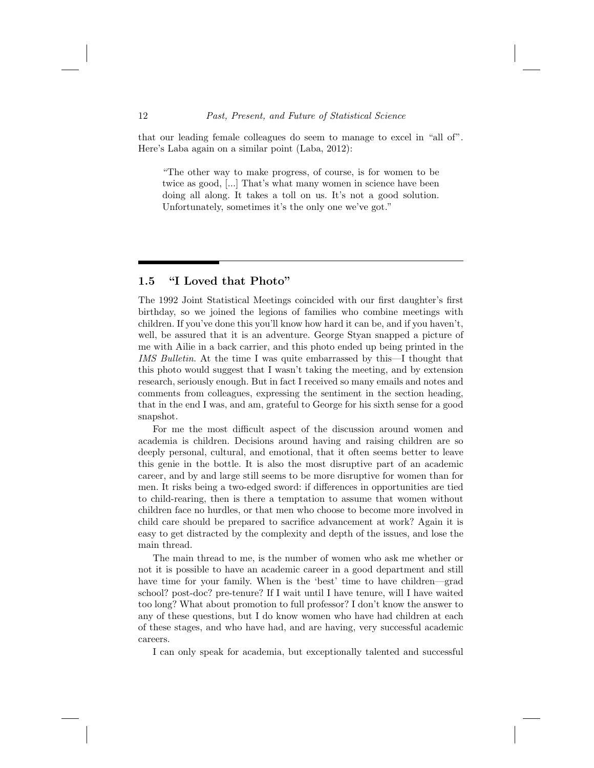that our leading female colleagues do seem to manage to excel in "all of". Here's Laba again on a similar point (Laba, 2012):

"The other way to make progress, of course, is for women to be twice as good, [...] That's what many women in science have been doing all along. It takes a toll on us. It's not a good solution. Unfortunately, sometimes it's the only one we've got."

### 1.5 "I Loved that Photo"

The 1992 Joint Statistical Meetings coincided with our first daughter's first birthday, so we joined the legions of families who combine meetings with children. If you've done this you'll know how hard it can be, and if you haven't, well, be assured that it is an adventure. George Styan snapped a picture of me with Ailie in a back carrier, and this photo ended up being printed in the IMS Bulletin. At the time I was quite embarrassed by this—I thought that this photo would suggest that I wasn't taking the meeting, and by extension research, seriously enough. But in fact I received so many emails and notes and comments from colleagues, expressing the sentiment in the section heading, that in the end I was, and am, grateful to George for his sixth sense for a good snapshot.

For me the most difficult aspect of the discussion around women and academia is children. Decisions around having and raising children are so deeply personal, cultural, and emotional, that it often seems better to leave this genie in the bottle. It is also the most disruptive part of an academic career, and by and large still seems to be more disruptive for women than for men. It risks being a two-edged sword: if differences in opportunities are tied to child-rearing, then is there a temptation to assume that women without children face no hurdles, or that men who choose to become more involved in child care should be prepared to sacrifice advancement at work? Again it is easy to get distracted by the complexity and depth of the issues, and lose the main thread.

The main thread to me, is the number of women who ask me whether or not it is possible to have an academic career in a good department and still have time for your family. When is the 'best' time to have children—grad school? post-doc? pre-tenure? If I wait until I have tenure, will I have waited too long? What about promotion to full professor? I don't know the answer to any of these questions, but I do know women who have had children at each of these stages, and who have had, and are having, very successful academic careers.

I can only speak for academia, but exceptionally talented and successful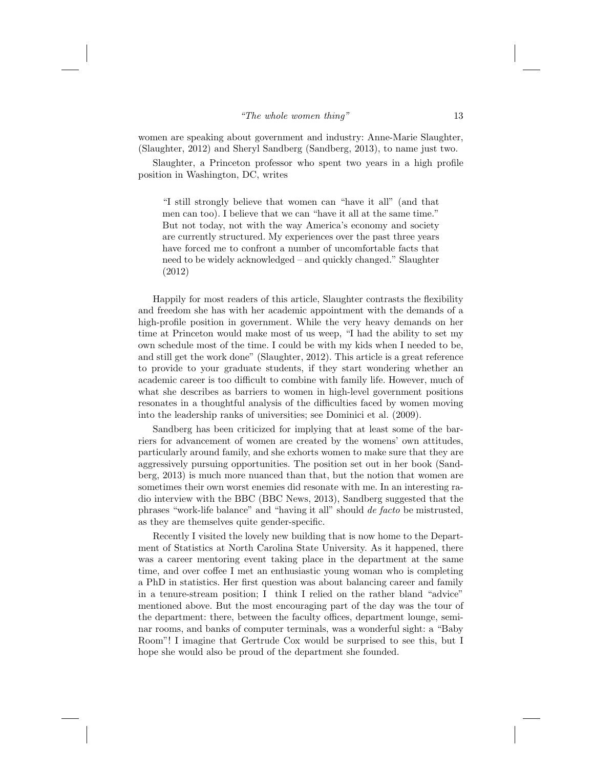women are speaking about government and industry: Anne-Marie Slaughter, (Slaughter, 2012) and Sheryl Sandberg (Sandberg, 2013), to name just two.

Slaughter, a Princeton professor who spent two years in a high profile position in Washington, DC, writes

"I still strongly believe that women can "have it all" (and that men can too). I believe that we can "have it all at the same time." But not today, not with the way America's economy and society are currently structured. My experiences over the past three years have forced me to confront a number of uncomfortable facts that need to be widely acknowledged – and quickly changed." Slaughter (2012)

Happily for most readers of this article, Slaughter contrasts the flexibility and freedom she has with her academic appointment with the demands of a high-profile position in government. While the very heavy demands on her time at Princeton would make most of us weep, "I had the ability to set my own schedule most of the time. I could be with my kids when I needed to be, and still get the work done" (Slaughter, 2012). This article is a great reference to provide to your graduate students, if they start wondering whether an academic career is too difficult to combine with family life. However, much of what she describes as barriers to women in high-level government positions resonates in a thoughtful analysis of the difficulties faced by women moving into the leadership ranks of universities; see Dominici et al. (2009).

Sandberg has been criticized for implying that at least some of the barriers for advancement of women are created by the womens' own attitudes, particularly around family, and she exhorts women to make sure that they are aggressively pursuing opportunities. The position set out in her book (Sandberg, 2013) is much more nuanced than that, but the notion that women are sometimes their own worst enemies did resonate with me. In an interesting radio interview with the BBC (BBC News, 2013), Sandberg suggested that the phrases "work-life balance" and "having it all" should de facto be mistrusted, as they are themselves quite gender-specific.

Recently I visited the lovely new building that is now home to the Department of Statistics at North Carolina State University. As it happened, there was a career mentoring event taking place in the department at the same time, and over coffee I met an enthusiastic young woman who is completing a PhD in statistics. Her first question was about balancing career and family in a tenure-stream position; I think I relied on the rather bland "advice" mentioned above. But the most encouraging part of the day was the tour of the department: there, between the faculty offices, department lounge, seminar rooms, and banks of computer terminals, was a wonderful sight: a "Baby Room"! I imagine that Gertrude Cox would be surprised to see this, but I hope she would also be proud of the department she founded.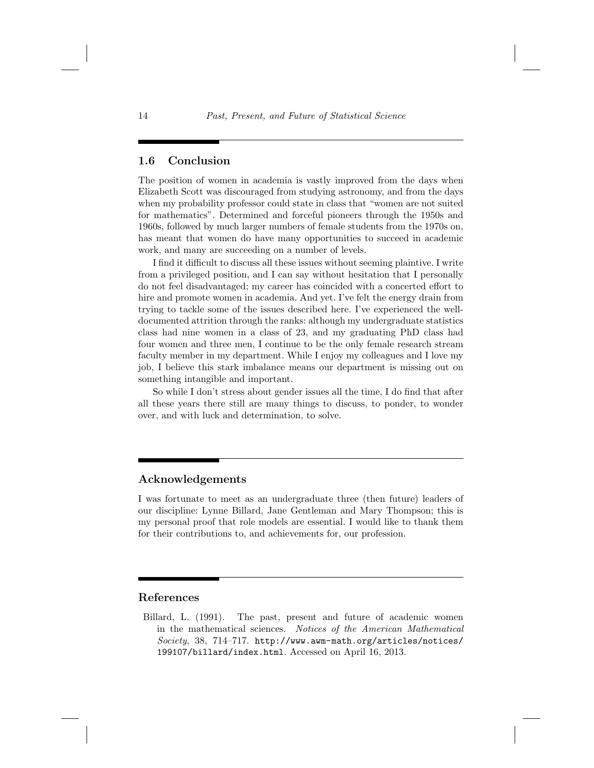#### 1.6 Conclusion

The position of women in academia is vastly improved from the days when Elizabeth Scott was discouraged from studying astronomy, and from the days when my probability professor could state in class that "women are not suited for mathematics". Determined and forceful pioneers through the 1950s and 1960s, followed by much larger numbers of female students from the 1970s on, has meant that women do have many opportunities to succeed in academic work, and many are succeeding on a number of levels.

I find it difficult to discuss all these issues without seeming plaintive. I write from a privileged position, and I can say without hesitation that I personally do not feel disadvantaged; my career has coincided with a concerted effort to hire and promote women in academia. And yet. I've felt the energy drain from trying to tackle some of the issues described here. I've experienced the welldocumented attrition through the ranks: although my undergraduate statistics class had nine women in a class of 23, and my graduating PhD class had four women and three men, I continue to be the only female research stream faculty member in my department. While I enjoy my colleagues and I love my job, I believe this stark imbalance means our department is missing out on something intangible and important.

So while I don't stress about gender issues all the time, I do find that after all these years there still are many things to discuss, to ponder, to wonder over, and with luck and determination, to solve.

# Acknowledgements

I was fortunate to meet as an undergraduate three (then future) leaders of our discipline: Lynne Billard, Jane Gentleman and Mary Thompson; this is my personal proof that role models are essential. I would like to thank them for their contributions to, and achievements for, our profession.

# References

Billard, L. (1991). The past, present and future of academic women in the mathematical sciences. Notices of the American Mathematical Society, 38, 714–717. http://www.awm-math.org/articles/notices/ 199107/billard/index.html. Accessed on April 16, 2013.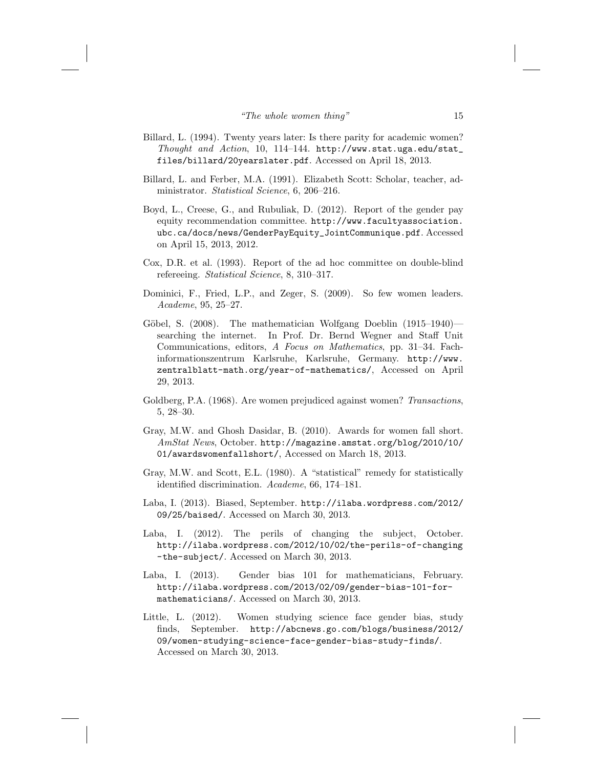- Billard, L. (1994). Twenty years later: Is there parity for academic women? Thought and Action, 10, 114–144. http://www.stat.uga.edu/stat\_ files/billard/20yearslater.pdf. Accessed on April 18, 2013.
- Billard, L. and Ferber, M.A. (1991). Elizabeth Scott: Scholar, teacher, administrator. Statistical Science, 6, 206–216.
- Boyd, L., Creese, G., and Rubuliak, D. (2012). Report of the gender pay equity recommendation committee. http://www.facultyassociation. ubc.ca/docs/news/GenderPayEquity\_JointCommunique.pdf. Accessed on April 15, 2013, 2012.
- Cox, D.R. et al. (1993). Report of the ad hoc committee on double-blind refereeing. Statistical Science, 8, 310–317.
- Dominici, F., Fried, L.P., and Zeger, S. (2009). So few women leaders. Academe, 95, 25–27.
- Göbel, S. (2008). The mathematician Wolfgang Doeblin (1915–1940) searching the internet. In Prof. Dr. Bernd Wegner and Staff Unit Communications, editors, A Focus on Mathematics, pp. 31–34. Fachinformationszentrum Karlsruhe, Karlsruhe, Germany. http://www. zentralblatt-math.org/year-of-mathematics/, Accessed on April 29, 2013.
- Goldberg, P.A. (1968). Are women prejudiced against women? Transactions, 5, 28–30.
- Gray, M.W. and Ghosh Dasidar, B. (2010). Awards for women fall short. AmStat News, October. http://magazine.amstat.org/blog/2010/10/ 01/awardswomenfallshort/, Accessed on March 18, 2013.
- Gray, M.W. and Scott, E.L. (1980). A "statistical" remedy for statistically identified discrimination. Academe, 66, 174–181.
- Laba, I. (2013). Biased, September. http://ilaba.wordpress.com/2012/ 09/25/baised/. Accessed on March 30, 2013.
- Laba, I. (2012). The perils of changing the subject, October. http://ilaba.wordpress.com/2012/10/02/the-perils-of-changing -the-subject/. Accessed on March 30, 2013.
- Laba, I. (2013). Gender bias 101 for mathematicians, February. http://ilaba.wordpress.com/2013/02/09/gender-bias-101-formathematicians/. Accessed on March 30, 2013.
- Little, L. (2012). Women studying science face gender bias, study finds, September. http://abcnews.go.com/blogs/business/2012/ 09/women-studying-science-face-gender-bias-study-finds/. Accessed on March 30, 2013.